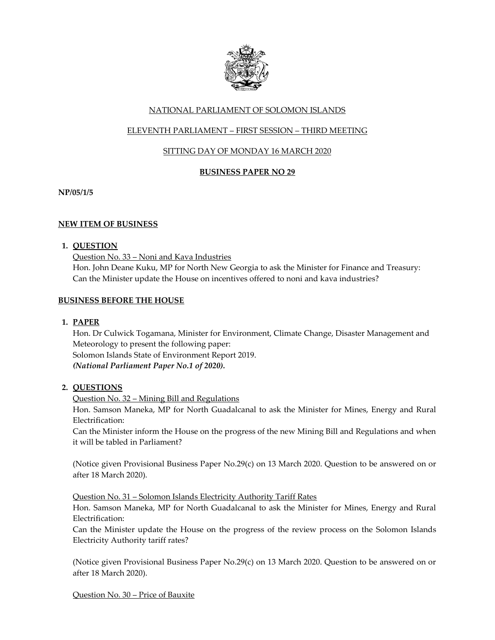

# NATIONAL PARLIAMENT OF SOLOMON ISLANDS

# ELEVENTH PARLIAMENT – FIRST SESSION – THIRD MEETING

# SITTING DAY OF MONDAY 16 MARCH 2020

## **BUSINESS PAPER NO 29**

**NP/05/1/5**

## **NEW ITEM OF BUSINESS**

## **1. QUESTION**

Question No. 33 – Noni and Kava Industries Hon. John Deane Kuku, MP for North New Georgia to ask the Minister for Finance and Treasury: Can the Minister update the House on incentives offered to noni and kava industries?

## **BUSINESS BEFORE THE HOUSE**

**1. PAPER**

Hon. Dr Culwick Togamana, Minister for Environment, Climate Change, Disaster Management and Meteorology to present the following paper: Solomon Islands State of Environment Report 2019. *(National Parliament Paper No.1 of 2020).*

## **2. QUESTIONS**

## Question No. 32 – Mining Bill and Regulations

Hon. Samson Maneka, MP for North Guadalcanal to ask the Minister for Mines, Energy and Rural Electrification:

Can the Minister inform the House on the progress of the new Mining Bill and Regulations and when it will be tabled in Parliament?

(Notice given Provisional Business Paper No.29(c) on 13 March 2020. Question to be answered on or after 18 March 2020).

Question No. 31 – Solomon Islands Electricity Authority Tariff Rates

Hon. Samson Maneka, MP for North Guadalcanal to ask the Minister for Mines, Energy and Rural Electrification:

Can the Minister update the House on the progress of the review process on the Solomon Islands Electricity Authority tariff rates?

(Notice given Provisional Business Paper No.29(c) on 13 March 2020. Question to be answered on or after 18 March 2020).

Question No. 30 – Price of Bauxite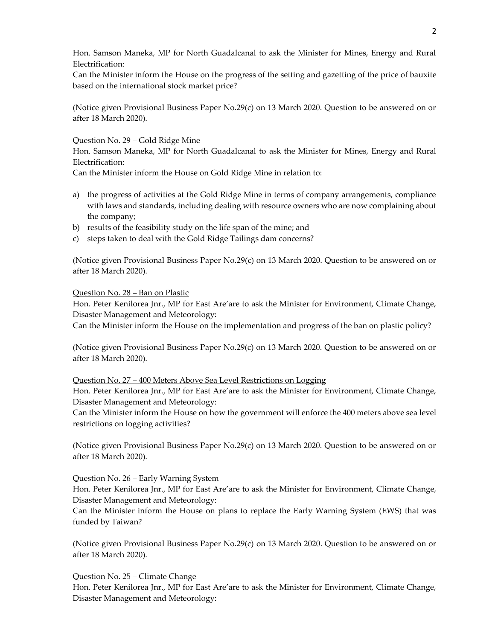Hon. Samson Maneka, MP for North Guadalcanal to ask the Minister for Mines, Energy and Rural Electrification:

Can the Minister inform the House on the progress of the setting and gazetting of the price of bauxite based on the international stock market price?

(Notice given Provisional Business Paper No.29(c) on 13 March 2020. Question to be answered on or after 18 March 2020).

### Question No. 29 – Gold Ridge Mine

Hon. Samson Maneka, MP for North Guadalcanal to ask the Minister for Mines, Energy and Rural Electrification:

Can the Minister inform the House on Gold Ridge Mine in relation to:

- a) the progress of activities at the Gold Ridge Mine in terms of company arrangements, compliance with laws and standards, including dealing with resource owners who are now complaining about the company;
- b) results of the feasibility study on the life span of the mine; and
- c) steps taken to deal with the Gold Ridge Tailings dam concerns?

(Notice given Provisional Business Paper No.29(c) on 13 March 2020. Question to be answered on or after 18 March 2020).

### Question No. 28 – Ban on Plastic

Hon. Peter Kenilorea Jnr., MP for East Are'are to ask the Minister for Environment, Climate Change, Disaster Management and Meteorology:

Can the Minister inform the House on the implementation and progress of the ban on plastic policy?

(Notice given Provisional Business Paper No.29(c) on 13 March 2020. Question to be answered on or after 18 March 2020).

#### Question No. 27 – 400 Meters Above Sea Level Restrictions on Logging

Hon. Peter Kenilorea Jnr., MP for East Are'are to ask the Minister for Environment, Climate Change, Disaster Management and Meteorology:

Can the Minister inform the House on how the government will enforce the 400 meters above sea level restrictions on logging activities?

(Notice given Provisional Business Paper No.29(c) on 13 March 2020. Question to be answered on or after 18 March 2020).

#### Question No. 26 – Early Warning System

Hon. Peter Kenilorea Jnr., MP for East Are'are to ask the Minister for Environment, Climate Change, Disaster Management and Meteorology:

Can the Minister inform the House on plans to replace the Early Warning System (EWS) that was funded by Taiwan?

(Notice given Provisional Business Paper No.29(c) on 13 March 2020. Question to be answered on or after 18 March 2020).

Question No. 25 – Climate Change

Hon. Peter Kenilorea Jnr., MP for East Are'are to ask the Minister for Environment, Climate Change, Disaster Management and Meteorology: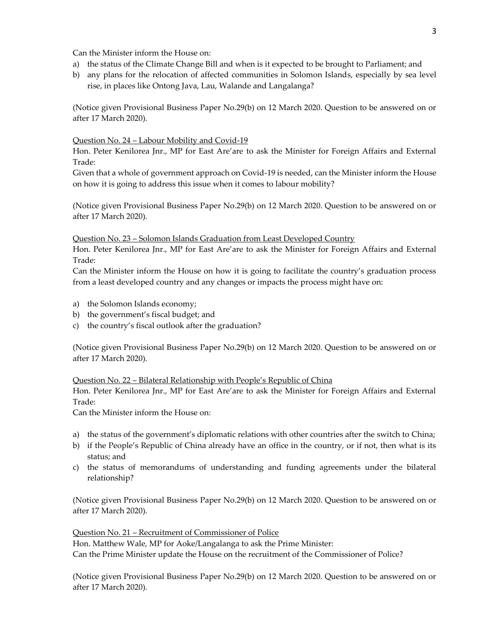Can the Minister inform the House on:

- a) the status of the Climate Change Bill and when is it expected to be brought to Parliament; and
- b) any plans for the relocation of affected communities in Solomon Islands, especially by sea level rise, in places like Ontong Java, Lau, Walande and Langalanga?

(Notice given Provisional Business Paper No.29(b) on 12 March 2020. Question to be answered on or after 17 March 2020).

#### Question No. 24 – Labour Mobility and Covid-19

Hon. Peter Kenilorea Jnr., MP for East Are'are to ask the Minister for Foreign Affairs and External Trade:

Given that a whole of government approach on Covid-19 is needed, can the Minister inform the House on how it is going to address this issue when it comes to labour mobility?

(Notice given Provisional Business Paper No.29(b) on 12 March 2020. Question to be answered on or after 17 March 2020).

#### Question No. 23 – Solomon Islands Graduation from Least Developed Country

Hon. Peter Kenilorea Jnr., MP for East Are'are to ask the Minister for Foreign Affairs and External Trade:

Can the Minister inform the House on how it is going to facilitate the country's graduation process from a least developed country and any changes or impacts the process might have on:

- a) the Solomon Islands economy;
- b) the government's fiscal budget; and
- c) the country's fiscal outlook after the graduation?

(Notice given Provisional Business Paper No.29(b) on 12 March 2020. Question to be answered on or after 17 March 2020).

#### Question No. 22 – Bilateral Relationship with People's Republic of China

Hon. Peter Kenilorea Jnr., MP for East Are'are to ask the Minister for Foreign Affairs and External Trade:

Can the Minister inform the House on:

- a) the status of the government's diplomatic relations with other countries after the switch to China;
- b) if the People's Republic of China already have an office in the country, or if not, then what is its status; and
- c) the status of memorandums of understanding and funding agreements under the bilateral relationship?

(Notice given Provisional Business Paper No.29(b) on 12 March 2020. Question to be answered on or after 17 March 2020).

Question No. 21 – Recruitment of Commissioner of Police

Hon. Matthew Wale, MP for Aoke/Langalanga to ask the Prime Minister:

Can the Prime Minister update the House on the recruitment of the Commissioner of Police?

(Notice given Provisional Business Paper No.29(b) on 12 March 2020. Question to be answered on or after 17 March 2020).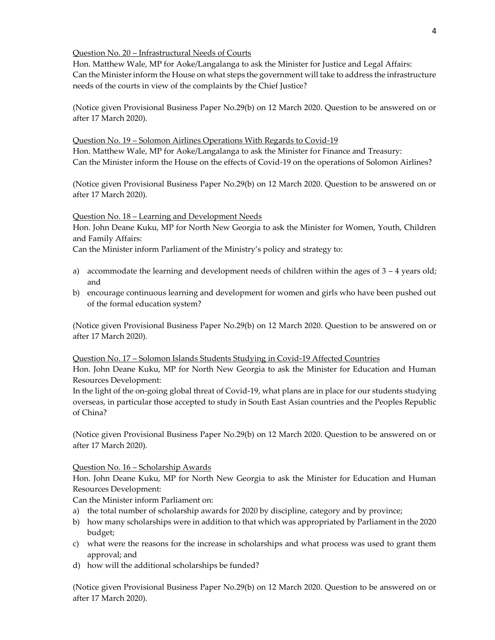### Question No. 20 – Infrastructural Needs of Courts

Hon. Matthew Wale, MP for Aoke/Langalanga to ask the Minister for Justice and Legal Affairs: Can the Minister inform the House on what steps the government will take to address the infrastructure needs of the courts in view of the complaints by the Chief Justice?

(Notice given Provisional Business Paper No.29(b) on 12 March 2020. Question to be answered on or after 17 March 2020).

#### Question No. 19 – Solomon Airlines Operations With Regards to Covid-19

Hon. Matthew Wale, MP for Aoke/Langalanga to ask the Minister for Finance and Treasury: Can the Minister inform the House on the effects of Covid-19 on the operations of Solomon Airlines?

(Notice given Provisional Business Paper No.29(b) on 12 March 2020. Question to be answered on or after 17 March 2020).

Question No. 18 – Learning and Development Needs

Hon. John Deane Kuku, MP for North New Georgia to ask the Minister for Women, Youth, Children and Family Affairs:

Can the Minister inform Parliament of the Ministry's policy and strategy to:

- a) accommodate the learning and development needs of children within the ages of  $3 4$  years old; and
- b) encourage continuous learning and development for women and girls who have been pushed out of the formal education system?

(Notice given Provisional Business Paper No.29(b) on 12 March 2020. Question to be answered on or after 17 March 2020).

## Question No. 17 – Solomon Islands Students Studying in Covid-19 Affected Countries

Hon. John Deane Kuku, MP for North New Georgia to ask the Minister for Education and Human Resources Development:

In the light of the on-going global threat of Covid-19, what plans are in place for our students studying overseas, in particular those accepted to study in South East Asian countries and the Peoples Republic of China?

(Notice given Provisional Business Paper No.29(b) on 12 March 2020. Question to be answered on or after 17 March 2020).

Question No. 16 – Scholarship Awards

Hon. John Deane Kuku, MP for North New Georgia to ask the Minister for Education and Human Resources Development:

Can the Minister inform Parliament on:

- a) the total number of scholarship awards for 2020 by discipline, category and by province;
- b) how many scholarships were in addition to that which was appropriated by Parliament in the 2020 budget;
- c) what were the reasons for the increase in scholarships and what process was used to grant them approval; and
- d) how will the additional scholarships be funded?

(Notice given Provisional Business Paper No.29(b) on 12 March 2020. Question to be answered on or after 17 March 2020).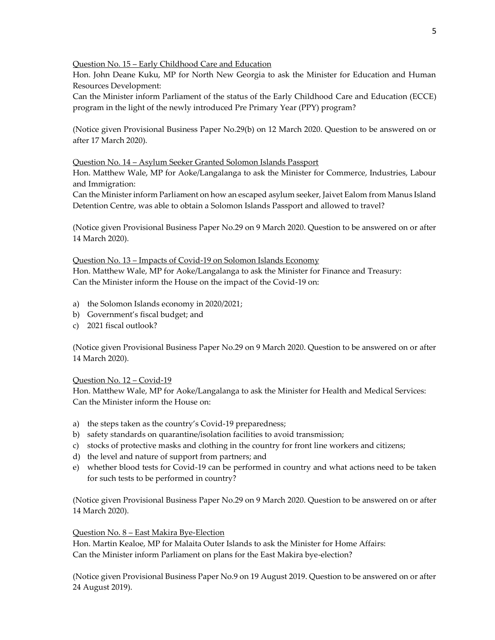Question No. 15 – Early Childhood Care and Education

Hon. John Deane Kuku, MP for North New Georgia to ask the Minister for Education and Human Resources Development:

Can the Minister inform Parliament of the status of the Early Childhood Care and Education (ECCE) program in the light of the newly introduced Pre Primary Year (PPY) program?

(Notice given Provisional Business Paper No.29(b) on 12 March 2020. Question to be answered on or after 17 March 2020).

## Question No. 14 – Asylum Seeker Granted Solomon Islands Passport

Hon. Matthew Wale, MP for Aoke/Langalanga to ask the Minister for Commerce, Industries, Labour and Immigration:

Can the Minister inform Parliament on how an escaped asylum seeker, Jaivet Ealom from Manus Island Detention Centre, was able to obtain a Solomon Islands Passport and allowed to travel?

(Notice given Provisional Business Paper No.29 on 9 March 2020. Question to be answered on or after 14 March 2020).

## Question No. 13 – Impacts of Covid-19 on Solomon Islands Economy

Hon. Matthew Wale, MP for Aoke/Langalanga to ask the Minister for Finance and Treasury: Can the Minister inform the House on the impact of the Covid-19 on:

- a) the Solomon Islands economy in 2020/2021;
- b) Government's fiscal budget; and
- c) 2021 fiscal outlook?

(Notice given Provisional Business Paper No.29 on 9 March 2020. Question to be answered on or after 14 March 2020).

## Question No. 12 – Covid-19

Hon. Matthew Wale, MP for Aoke/Langalanga to ask the Minister for Health and Medical Services: Can the Minister inform the House on:

- a) the steps taken as the country's Covid-19 preparedness;
- b) safety standards on quarantine/isolation facilities to avoid transmission;
- c) stocks of protective masks and clothing in the country for front line workers and citizens;
- d) the level and nature of support from partners; and
- e) whether blood tests for Covid-19 can be performed in country and what actions need to be taken for such tests to be performed in country?

(Notice given Provisional Business Paper No.29 on 9 March 2020. Question to be answered on or after 14 March 2020).

## Question No. 8 – East Makira Bye-Election

Hon. Martin Kealoe, MP for Malaita Outer Islands to ask the Minister for Home Affairs: Can the Minister inform Parliament on plans for the East Makira bye-election?

(Notice given Provisional Business Paper No.9 on 19 August 2019. Question to be answered on or after 24 August 2019).